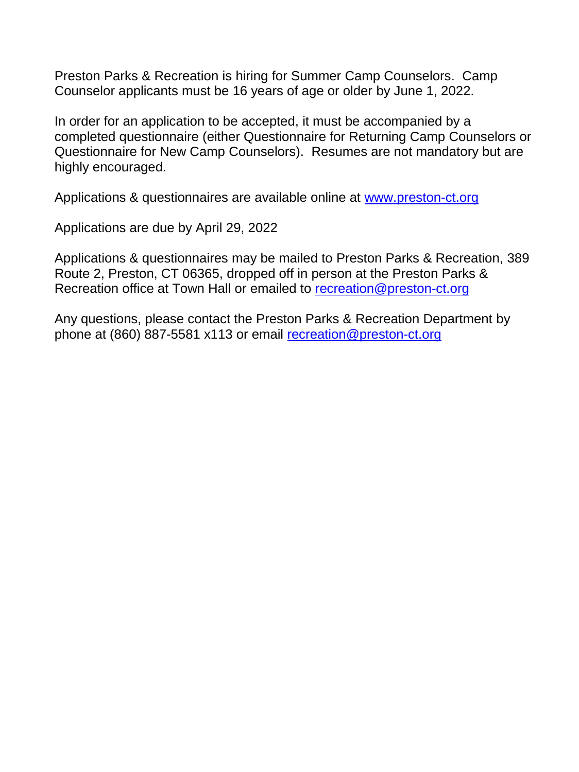Preston Parks & Recreation is hiring for Summer Camp Counselors. Camp Counselor applicants must be 16 years of age or older by June 1, 2022.

In order for an application to be accepted, it must be accompanied by a completed questionnaire (either Questionnaire for Returning Camp Counselors or Questionnaire for New Camp Counselors). Resumes are not mandatory but are highly encouraged.

Applications & questionnaires are available online at [www.preston-ct.org](http://www.preston-ct.org/)

Applications are due by April 29, 2022

Applications & questionnaires may be mailed to Preston Parks & Recreation, 389 Route 2, Preston, CT 06365, dropped off in person at the Preston Parks & Recreation office at Town Hall or emailed to [recreation@preston-ct.org](mailto:recreation@preston-ct.org)

Any questions, please contact the Preston Parks & Recreation Department by phone at (860) 887-5581 x113 or email [recreation@preston-ct.org](mailto:recreation@preston-ct.org)